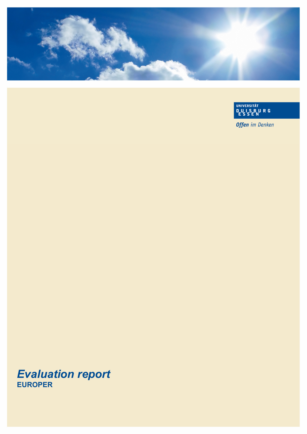

UNIVERSITÄT<br>DUISBURG<br>ESSEN

**Offen** im Denken

# *Evaluation report*  **EUROPER**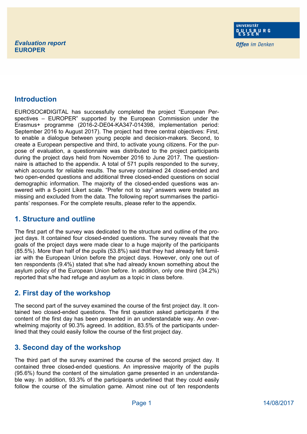**Offen** im Denken

#### **Introduction**

EUROSOC#DIGITAL has successfully completed the project "European Perspectives – EUROPER" supported by the European Commission under the Erasmus+ programme (2016-2-DE04-KA347-014398, implementation period: September 2016 to August 2017). The project had three central objectives: First, to enable a dialogue between young people and decision-makers. Second, to create a European perspective and third, to activate young citizens. For the purpose of evaluation, a questionnaire was distributed to the project participants during the project days held from November 2016 to June 2017. The questionnaire is attached to the appendix. A total of 571 pupils responded to the survey, which accounts for reliable results. The survey contained 24 closed-ended and two open-ended questions and additional three closed-ended questions on social demographic information. The majority of the closed-ended questions was answered with a 5-point Likert scale. "Prefer not to say" answers were treated as missing and excluded from the data. The following report summarises the participants' responses. For the complete results, please refer to the appendix.

#### **1. Structure and outline**

The first part of the survey was dedicated to the structure and outline of the project days. It contained four closed-ended questions. The survey reveals that the goals of the project days were made clear to a huge majority of the participants (85.5%). More than half of the pupils (53.8%) said that they had already felt familiar with the European Union before the project days. However, only one out of ten respondents (9.4%) stated that s/he had already known something about the asylum policy of the European Union before. In addition, only one third (34.2%) reported that s/he had refuge and asylum as a topic in class before.

# **2. First day of the workshop**

The second part of the survey examined the course of the first project day. It contained two closed-ended questions. The first question asked participants if the content of the first day has been presented in an understandable way. An overwhelming majority of 90.3% agreed. In addition, 83.5% of the participants underlined that they could easily follow the course of the first project day.

# **3. Second day of the workshop**

The third part of the survey examined the course of the second project day. It contained three closed-ended questions. An impressive majority of the pupils (95.6%) found the content of the simulation game presented in an understandable way. In addition, 93.3% of the participants underlined that they could easily follow the course of the simulation game. Almost nine out of ten respondents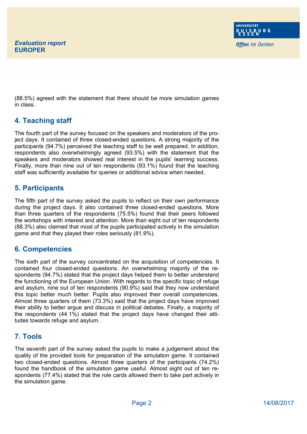(88.5%) agreed with the statement that there should be more simulation games in class.

#### **4. Teaching staff**

The fourth part of the survey focused on the speakers and moderators of the project days. It contained of three closed-ended questions. A strong majority of the participants (94.7%) perceived the teaching staff to be well prepared. In addition, respondents also overwhelmingly agreed (93.5%) with the statement that the speakers and moderators showed real interest in the pupils' learning success. Finally, more than nine out of ten respondents (93.1%) found that the teaching staff was sufficiently available for queries or additional advice when needed.

# **5. Participants**

The fifth part of the survey asked the pupils to reflect on their own performance during the project days. It also contained three closed-ended questions. More than three quarters of the respondents (75.5%) found that their peers followed the workshops with interest and attention. More than eight out of ten respondents (88.3%) also claimed that most of the pupils participated actively in the simulation game and that they played their roles seriously (81.9%).

# **6. Competencies**

The sixth part of the survey concentrated on the acquisition of competencies. It contained four closed-ended questions. An overwhelming majority of the respondents (94.7%) stated that the project days helped them to better understand the functioning of the European Union. With regards to the specific topic of refuge and asylum, nine out of ten respondents (90.9%) said that they now understand this topic better much better. Pupils also improved their overall competencies. Almost three quarters of them (73.3%) said that the project days have improved their ability to better argue and discuss in political debates. Finally, a majority of the respondents (44.1%) stated that the project days have changed their attitudes towards refuge and asylum.

# **7. Tools**

The seventh part of the survey asked the pupils to make a judgement about the quality of the provided tools for preparation of the simulation game. It contained two closed-ended questions. Almost three quarters of the participants (74.2%) found the handbook of the simulation game useful. Almost eight out of ten respondents (77.4%) stated that the role cards allowed them to take part actively in the simulation game.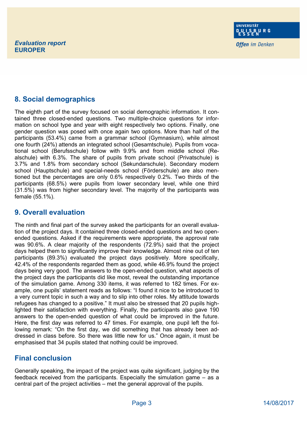**Offen** im Denken

# **8. Social demographics**

The eighth part of the survey focused on social demographic information. It contained three closed-ended questions. Two multiple-choice questions for information on school type and year with eight respectively two options. Finally, one gender question was posed with once again two options. More than half of the participants (53.4%) came from a grammar school (Gymnasium), while almost one fourth (24%) attends an integrated school (Gesamtschule). Pupils from vocational school (Berufsschule) follow with 9.9% and from middle school (Realschule) with 6.3%. The share of pupils from private school (Privatschule) is 3.7% and 1.8% from secondary school (Sekundarschule). Secondary modern school (Hauptschule) and special-needs school (Förderschule) are also mentioned but the percentages are only 0.6% respectively 0.2%. Two thirds of the participants (68.5%) were pupils from lower secondary level, while one third (31.5%) was from higher secondary level. The majority of the participants was female (55.1%).

#### **9. Overall evaluation**

The ninth and final part of the survey asked the participants for an overall evaluation of the project days. It contained three closed-ended questions and two openended questions. Asked if the requirements were appropriate, the approval rate was 90.6%. A clear majority of the respondents (72.9%) said that the project days helped them to significantly improve their knowledge. Almost nine out of ten participants (89.3%) evaluated the project days positively. More specifically, 42.4% of the respondents regarded them as good, while 46.9% found the project days being very good. The answers to the open-ended question, what aspects of the project days the participants did like most, reveal the outstanding importance of the simulation game. Among 330 items, it was referred to 182 times. For example, one pupils' statement reads as follows: "I found it nice to be introduced to a very current topic in such a way and to slip into other roles. My attitude towards refugees has changed to a positive." It must also be stressed that 20 pupils highlighted their satisfaction with everything. Finally, the participants also gave 190 answers to the open-ended question of what could be improved in the future. Here, the first day was referred to 47 times. For example, one pupil left the following remark: "On the first day, we did something that has already been addressed in class before. So there was little new for us." Once again, it must be emphasised that 34 pupils stated that nothing could be improved.

# **Final conclusion**

Generally speaking, the impact of the project was quite significant, judging by the feedback received from the participants. Especially the simulation game – as a central part of the project activities – met the general approval of the pupils.